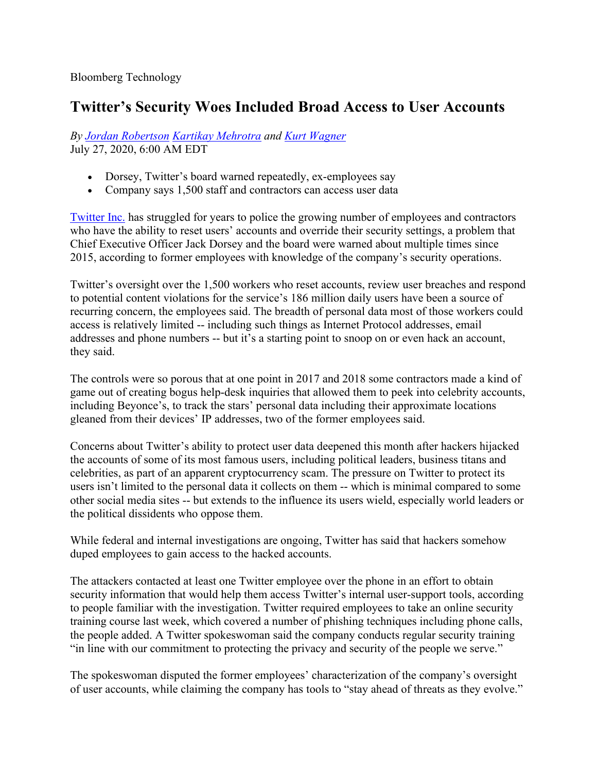## **Twitter's Security Woes Included Broad Access to User Accounts**

*By [Jordan Robertson](https://www.bloomberg.com/authors/AQrv1y2ieI0/jordan-robertson) [Kartikay Mehrotra](https://www.bloomberg.com/authors/AQO7fof-104/kartikay-mehrotra) and [Kurt Wagner](https://www.bloomberg.com/authors/AUD3z6XZVm0/kurt-wagner)* July 27, 2020, 6:00 AM EDT

- Dorsey, Twitter's board warned repeatedly, ex-employees say
- Company says 1,500 staff and contractors can access user data

[Twitter Inc.](https://www.bloomberg.com/quote/TWTR:US) has struggled for years to police the growing number of employees and contractors who have the ability to reset users' accounts and override their security settings, a problem that Chief Executive Officer Jack Dorsey and the board were warned about multiple times since 2015, according to former employees with knowledge of the company's security operations.

Twitter's oversight over the 1,500 workers who reset accounts, review user breaches and respond to potential content violations for the service's 186 million daily users have been a source of recurring concern, the employees said. The breadth of personal data most of those workers could access is relatively limited -- including such things as Internet Protocol addresses, email addresses and phone numbers -- but it's a starting point to snoop on or even hack an account, they said.

The controls were so porous that at one point in 2017 and 2018 some contractors made a kind of game out of creating bogus help-desk inquiries that allowed them to peek into celebrity accounts, including Beyonce's, to track the stars' personal data including their approximate locations gleaned from their devices' IP addresses, two of the former employees said.

Concerns about Twitter's ability to protect user data deepened this month after hackers hijacked the accounts of some of its most famous users, including political leaders, business titans and celebrities, as part of an apparent cryptocurrency scam. The pressure on Twitter to protect its users isn't limited to the personal data it collects on them -- which is minimal compared to some other social media sites -- but extends to the influence its users wield, especially world leaders or the political dissidents who oppose them.

While federal and internal investigations are ongoing, Twitter has said that hackers somehow duped employees to gain access to the hacked accounts.

The attackers contacted at least one Twitter employee over the phone in an effort to obtain security information that would help them access Twitter's internal user-support tools, according to people familiar with the investigation. Twitter required employees to take an online security training course last week, which covered a number of phishing techniques including phone calls, the people added. A Twitter spokeswoman said the company conducts regular security training "in line with our commitment to protecting the privacy and security of the people we serve."

The spokeswoman disputed the former employees' characterization of the company's oversight of user accounts, while claiming the company has tools to "stay ahead of threats as they evolve."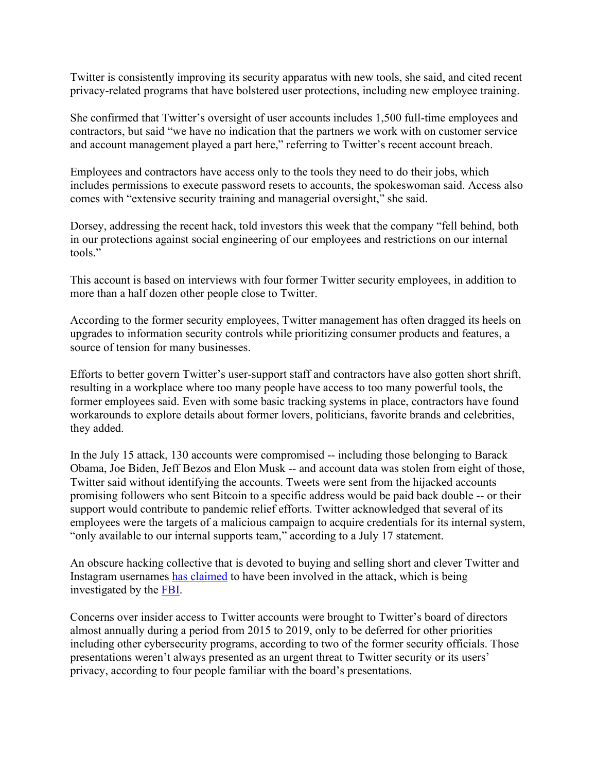Twitter is consistently improving its security apparatus with new tools, she said, and cited recent privacy-related programs that have bolstered user protections, including new employee training.

She confirmed that Twitter's oversight of user accounts includes 1,500 full-time employees and contractors, but said "we have no indication that the partners we work with on customer service and account management played a part here," referring to Twitter's recent account breach.

Employees and contractors have access only to the tools they need to do their jobs, which includes permissions to execute password resets to accounts, the spokeswoman said. Access also comes with "extensive security training and managerial oversight," she said.

Dorsey, addressing the recent hack, told investors this week that the company "fell behind, both in our protections against social engineering of our employees and restrictions on our internal tools."

This account is based on interviews with four former Twitter security employees, in addition to more than a half dozen other people close to Twitter.

According to the former security employees, Twitter management has often dragged its heels on upgrades to information security controls while prioritizing consumer products and features, a source of tension for many businesses.

Efforts to better govern Twitter's user-support staff and contractors have also gotten short shrift, resulting in a workplace where too many people have access to too many powerful tools, the former employees said. Even with some basic tracking systems in place, contractors have found workarounds to explore details about former lovers, politicians, favorite brands and celebrities, they added.

In the July 15 attack, 130 accounts were compromised -- including those belonging to Barack Obama, Joe Biden, Jeff Bezos and Elon Musk -- and account data was stolen from eight of those, Twitter said without identifying the accounts. Tweets were sent from the hijacked accounts promising followers who sent Bitcoin to a specific address would be paid back double -- or their support would contribute to pandemic relief efforts. Twitter acknowledged that several of its employees were the targets of a malicious campaign to acquire credentials for its internal system, "only available to our internal supports team," according to a July 17 statement.

An obscure hacking collective that is devoted to buying and selling short and clever Twitter and Instagram usernames [has claimed](https://www.bloomberg.com/news/terminal/QDMV53T0G1KX) to have been involved in the attack, which is being investigated by the [FBI.](https://www.bloomberg.com/quote/48735Z:US)

Concerns over insider access to Twitter accounts were brought to Twitter's board of directors almost annually during a period from 2015 to 2019, only to be deferred for other priorities including other cybersecurity programs, according to two of the former security officials. Those presentations weren't always presented as an urgent threat to Twitter security or its users' privacy, according to four people familiar with the board's presentations.